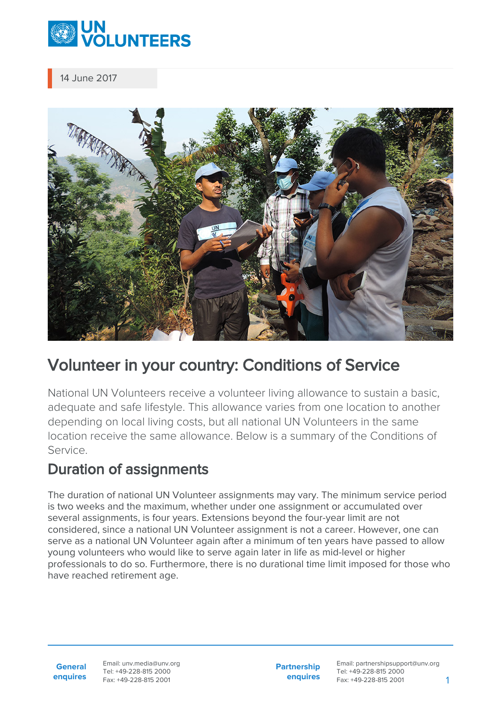

14 June 2017



# Volunteer in your country: Conditions of Service

National UN Volunteers receive a volunteer living allowance to sustain a basic, adequate and safe lifestyle. This allowance varies from one location to another depending on local living costs, but all national UN Volunteers in the same location receive the same allowance. Below is a summary of the Conditions of Service.

## Duration of assignments

The duration of national UN Volunteer assignments may vary. The minimum service period is two weeks and the maximum, whether under one assignment or accumulated over several assignments, is four years. Extensions beyond the four-year limit are not considered, since a national UN Volunteer assignment is not a career. However, one can serve as a national UN Volunteer again after a minimum of ten years have passed to allow young volunteers who would like to serve again later in life as mid-level or higher professionals to do so. Furthermore, there is no durational time limit imposed for those who have reached retirement age.

**General enquires** Email: unv.media@unv.org Tel: +49-228-815 2000 Fax: +49-228-815 2001

**Partnership enquires**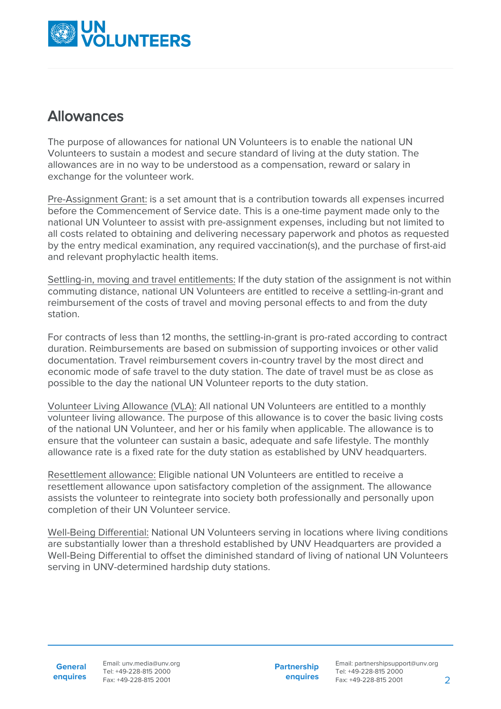

### Allowances

The purpose of allowances for national UN Volunteers is to enable the national UN Volunteers to sustain a modest and secure standard of living at the duty station. The allowances are in no way to be understood as a compensation, reward or salary in exchange for the volunteer work.

Pre-Assignment Grant: is a set amount that is a contribution towards all expenses incurred before the Commencement of Service date. This is a one-time payment made only to the national UN Volunteer to assist with pre-assignment expenses, including but not limited to all costs related to obtaining and delivering necessary paperwork and photos as requested by the entry medical examination, any required vaccination(s), and the purchase of first-aid and relevant prophylactic health items.

Settling-in, moving and travel entitlements: If the duty station of the assignment is not within commuting distance, national UN Volunteers are entitled to receive a settling-in-grant and reimbursement of the costs of travel and moving personal effects to and from the duty station.

For contracts of less than 12 months, the settling-in-grant is pro-rated according to contract duration. Reimbursements are based on submission of supporting invoices or other valid documentation. Travel reimbursement covers in-country travel by the most direct and economic mode of safe travel to the duty station. The date of travel must be as close as possible to the day the national UN Volunteer reports to the duty station.

Volunteer Living Allowance (VLA): All national UN Volunteers are entitled to a monthly volunteer living allowance. The purpose of this allowance is to cover the basic living costs of the national UN Volunteer, and her or his family when applicable. The allowance is to ensure that the volunteer can sustain a basic, adequate and safe lifestyle. The monthly allowance rate is a fixed rate for the duty station as established by UNV headquarters.

Resettlement allowance: Eligible national UN Volunteers are entitled to receive a resettlement allowance upon satisfactory completion of the assignment. The allowance assists the volunteer to reintegrate into society both professionally and personally upon completion of their UN Volunteer service.

Well-Being Differential: National UN Volunteers serving in locations where living conditions are substantially lower than a threshold established by UNV Headquarters are provided a Well-Being Differential to offset the diminished standard of living of national UN Volunteers serving in UNV-determined hardship duty stations.

**General enquires** Email: unv.media@unv.org Tel: +49-228-815 2000 Fax: +49-228-815 2001

**Partnership enquires**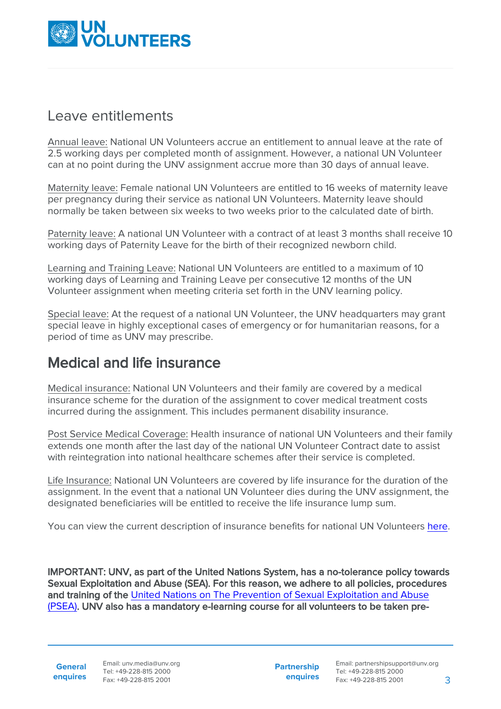

#### Leave entitlements

Annual leave: National UN Volunteers accrue an entitlement to annual leave at the rate of 2.5 working days per completed month of assignment. However, a national UN Volunteer can at no point during the UNV assignment accrue more than 30 days of annual leave.

Maternity leave: Female national UN Volunteers are entitled to 16 weeks of maternity leave per pregnancy during their service as national UN Volunteers. Maternity leave should normally be taken between six weeks to two weeks prior to the calculated date of birth.

Paternity leave: A national UN Volunteer with a contract of at least 3 months shall receive 10 working days of Paternity Leave for the birth of their recognized newborn child.

Learning and Training Leave: National UN Volunteers are entitled to a maximum of 10 working days of Learning and Training Leave per consecutive 12 months of the UN Volunteer assignment when meeting criteria set forth in the UNV learning policy.

Special leave: At the request of a national UN Volunteer, the UNV headquarters may grant special leave in highly exceptional cases of emergency or for humanitarian reasons, for a period of time as UNV may prescribe.

# Medical and life insurance

Medical insurance: National UN Volunteers and their family are covered by a medical insurance scheme for the duration of the assignment to cover medical treatment costs incurred during the assignment. This includes permanent disability insurance.

Post Service Medical Coverage: Health insurance of national UN Volunteers and their family extends one month after the last day of the national UN Volunteer Contract date to assist with reintegration into national healthcare schemes after their service is completed.

Life Insurance: National UN Volunteers are covered by life insurance for the duration of the assignment. In the event that a national UN Volunteer dies during the UNV assignment, the designated beneficiaries will be entitled to receive the life insurance lump sum.

You can view the current description of insurance benefits for national UN Volunteers [here.](https://www.unv.org/sites/default/files/NUNV_Description%20of%20benefits%202019.pdf)

IMPORTANT: UNV, as part of the United Nations System, has a no-tolerance policy towards Sexual Exploitation and Abuse (SEA). For this reason, we adhere to all policies, procedures and training of the [United Nations on The Prevention of Sexual Exploitation and Abuse](https://eur03.safelinks.protection.outlook.com/?url=https%3A%2F%2Fwww.un.org%2Fpreventing-sexual-exploitation-and-abuse%2Fcontent%2Ftraining&data=02%7C01%7Cjennifer.stapper%40unv.org%7C8174d6f41b8a4be920dd08d7b45be65f%7Cb3e5db5e2944483799f57488ace54319%7C0%7C0%7C637176179104975116&sdata=9cHwXOl%2FH5n%2Fx%2BRJa40jp0ZBlTbVdanlbZ9K59Za9vw%3D&reserved=0) [\(PSEA\).](https://eur03.safelinks.protection.outlook.com/?url=https%3A%2F%2Fwww.un.org%2Fpreventing-sexual-exploitation-and-abuse%2Fcontent%2Ftraining&data=02%7C01%7Cjennifer.stapper%40unv.org%7C8174d6f41b8a4be920dd08d7b45be65f%7Cb3e5db5e2944483799f57488ace54319%7C0%7C0%7C637176179104975116&sdata=9cHwXOl%2FH5n%2Fx%2BRJa40jp0ZBlTbVdanlbZ9K59Za9vw%3D&reserved=0) UNV also has a mandatory e-learning course for all volunteers to be taken pre-

**General**

**enquires** Tel: +49-228-815 2000 Fax: +49-228-815 2001 Email: unv.media@unv.org<br>Tel: +49-228-815 2000

**Partnership enquires**